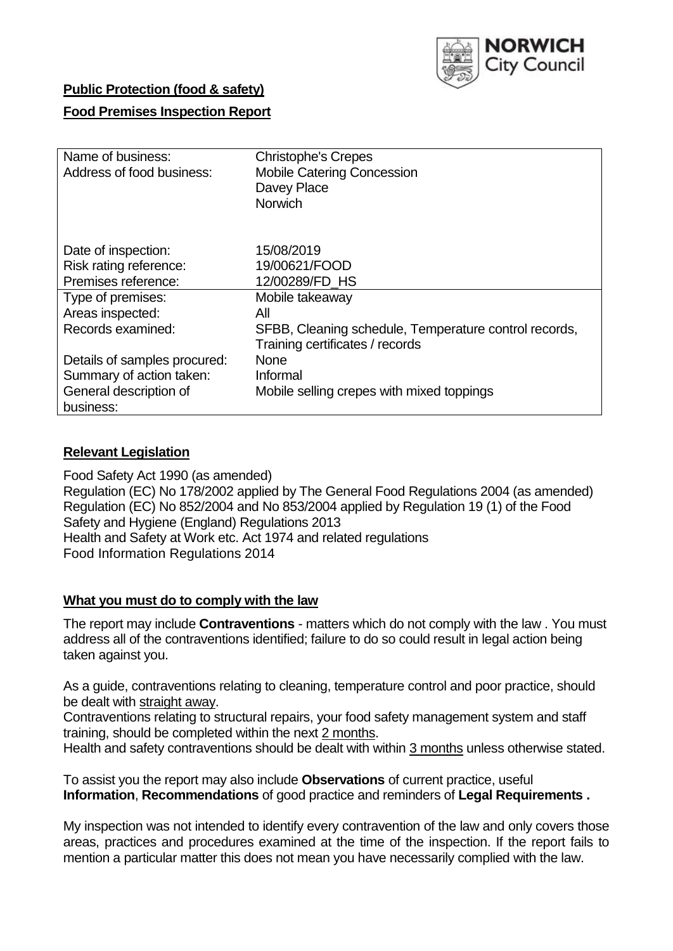

# **Public Protection (food & safety)**

## **Food Premises Inspection Report**

| Name of business:            | <b>Christophe's Crepes</b>                            |
|------------------------------|-------------------------------------------------------|
| Address of food business:    | <b>Mobile Catering Concession</b>                     |
|                              | Davey Place                                           |
|                              | <b>Norwich</b>                                        |
|                              |                                                       |
| Date of inspection:          | 15/08/2019                                            |
| Risk rating reference:       | 19/00621/FOOD                                         |
| Premises reference:          | 12/00289/FD HS                                        |
| Type of premises:            | Mobile takeaway                                       |
| Areas inspected:             | All                                                   |
|                              |                                                       |
| Records examined:            | SFBB, Cleaning schedule, Temperature control records, |
|                              | Training certificates / records                       |
| Details of samples procured: | <b>None</b>                                           |
| Summary of action taken:     | Informal                                              |
| General description of       | Mobile selling crepes with mixed toppings             |
| business:                    |                                                       |

### **Relevant Legislation**

Food Safety Act 1990 (as amended) Regulation (EC) No 178/2002 applied by The General Food Regulations 2004 (as amended) Regulation (EC) No 852/2004 and No 853/2004 applied by Regulation 19 (1) of the Food Safety and Hygiene (England) Regulations 2013 Health and Safety at Work etc. Act 1974 and related regulations Food Information Regulations 2014

#### **What you must do to comply with the law**

The report may include **Contraventions** - matters which do not comply with the law . You must address all of the contraventions identified; failure to do so could result in legal action being taken against you.

As a guide, contraventions relating to cleaning, temperature control and poor practice, should be dealt with straight away.

Contraventions relating to structural repairs, your food safety management system and staff training, should be completed within the next 2 months.

Health and safety contraventions should be dealt with within 3 months unless otherwise stated.

To assist you the report may also include **Observations** of current practice, useful **Information**, **Recommendations** of good practice and reminders of **Legal Requirements .**

My inspection was not intended to identify every contravention of the law and only covers those areas, practices and procedures examined at the time of the inspection. If the report fails to mention a particular matter this does not mean you have necessarily complied with the law.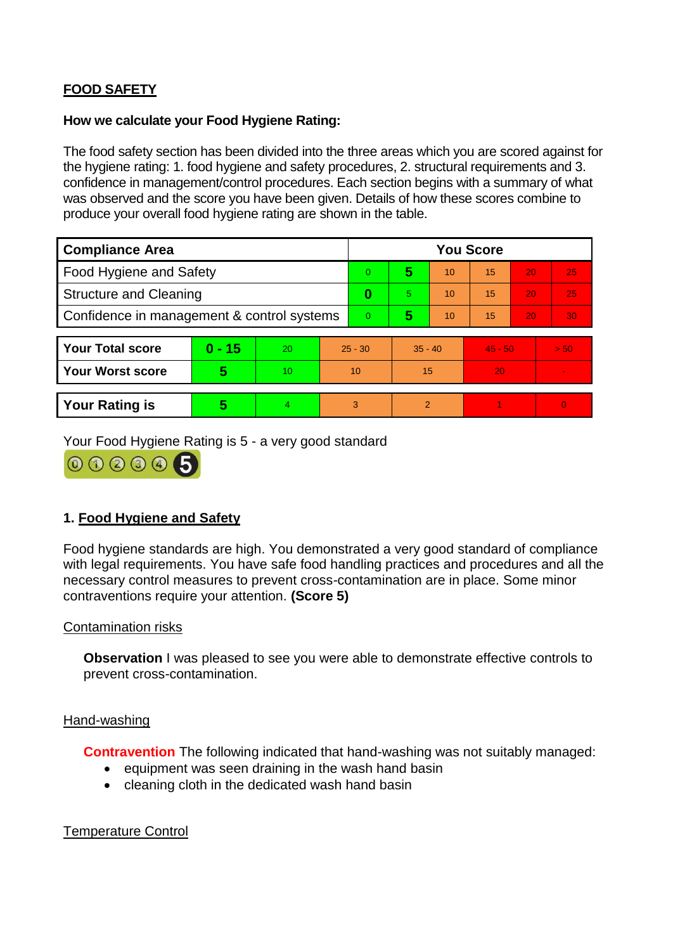# **FOOD SAFETY**

### **How we calculate your Food Hygiene Rating:**

The food safety section has been divided into the three areas which you are scored against for the hygiene rating: 1. food hygiene and safety procedures, 2. structural requirements and 3. confidence in management/control procedures. Each section begins with a summary of what was observed and the score you have been given. Details of how these scores combine to produce your overall food hygiene rating are shown in the table.

| <b>Compliance Area</b>                     |                         |                  |           | <b>You Score</b> |                |    |           |    |                |  |  |
|--------------------------------------------|-------------------------|------------------|-----------|------------------|----------------|----|-----------|----|----------------|--|--|
| Food Hygiene and Safety                    |                         |                  |           | 0                | 5              | 10 | 15        | 20 | 25             |  |  |
| <b>Structure and Cleaning</b>              |                         |                  | 0         | 5                | 10             | 15 | 20        | 25 |                |  |  |
| Confidence in management & control systems |                         |                  | $\Omega$  | 5                | 10             | 15 | 20        | 30 |                |  |  |
|                                            |                         |                  |           |                  |                |    |           |    |                |  |  |
| <b>Your Total score</b>                    | $0 - 15$                | 20               | $25 - 30$ |                  | $35 - 40$      |    | $45 - 50$ |    | > 50           |  |  |
| <b>Your Worst score</b>                    | $\overline{\mathbf{5}}$ | 10 <sup>10</sup> | 10        |                  | 15             |    | 20        |    | $\blacksquare$ |  |  |
|                                            |                         |                  |           |                  |                |    |           |    |                |  |  |
| <b>Your Rating is</b>                      | 5                       | 4                | 3         |                  | $\overline{2}$ |    |           |    | $\overline{0}$ |  |  |

Your Food Hygiene Rating is 5 - a very good standard



# **1. Food Hygiene and Safety**

Food hygiene standards are high. You demonstrated a very good standard of compliance with legal requirements. You have safe food handling practices and procedures and all the necessary control measures to prevent cross-contamination are in place. Some minor contraventions require your attention. **(Score 5)**

## Contamination risks

**Observation** I was pleased to see you were able to demonstrate effective controls to prevent cross-contamination.

#### Hand-washing

**Contravention** The following indicated that hand-washing was not suitably managed:

- equipment was seen draining in the wash hand basin
- cleaning cloth in the dedicated wash hand basin

# Temperature Control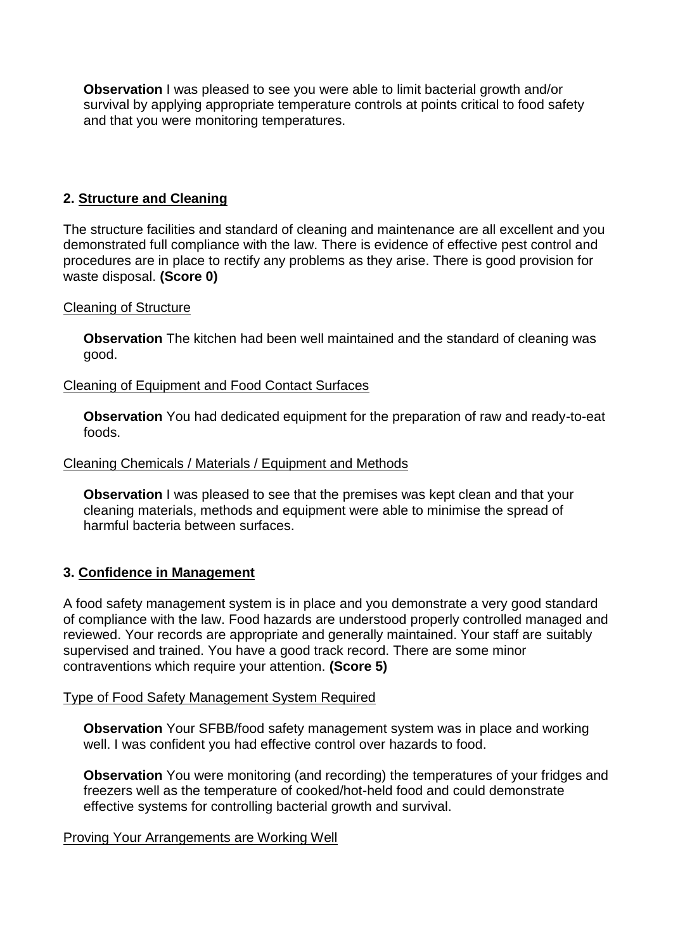**Observation** I was pleased to see you were able to limit bacterial growth and/or survival by applying appropriate temperature controls at points critical to food safety and that you were monitoring temperatures.

# **2. Structure and Cleaning**

The structure facilities and standard of cleaning and maintenance are all excellent and you demonstrated full compliance with the law. There is evidence of effective pest control and procedures are in place to rectify any problems as they arise. There is good provision for waste disposal. **(Score 0)**

### Cleaning of Structure

**Observation** The kitchen had been well maintained and the standard of cleaning was good.

### Cleaning of Equipment and Food Contact Surfaces

**Observation** You had dedicated equipment for the preparation of raw and ready-to-eat foods.

#### Cleaning Chemicals / Materials / Equipment and Methods

**Observation I** was pleased to see that the premises was kept clean and that your cleaning materials, methods and equipment were able to minimise the spread of harmful bacteria between surfaces.

## **3. Confidence in Management**

A food safety management system is in place and you demonstrate a very good standard of compliance with the law. Food hazards are understood properly controlled managed and reviewed. Your records are appropriate and generally maintained. Your staff are suitably supervised and trained. You have a good track record. There are some minor contraventions which require your attention. **(Score 5)**

#### Type of Food Safety Management System Required

**Observation** Your SFBB/food safety management system was in place and working well. I was confident you had effective control over hazards to food.

**Observation** You were monitoring (and recording) the temperatures of your fridges and freezers well as the temperature of cooked/hot-held food and could demonstrate effective systems for controlling bacterial growth and survival.

#### Proving Your Arrangements are Working Well